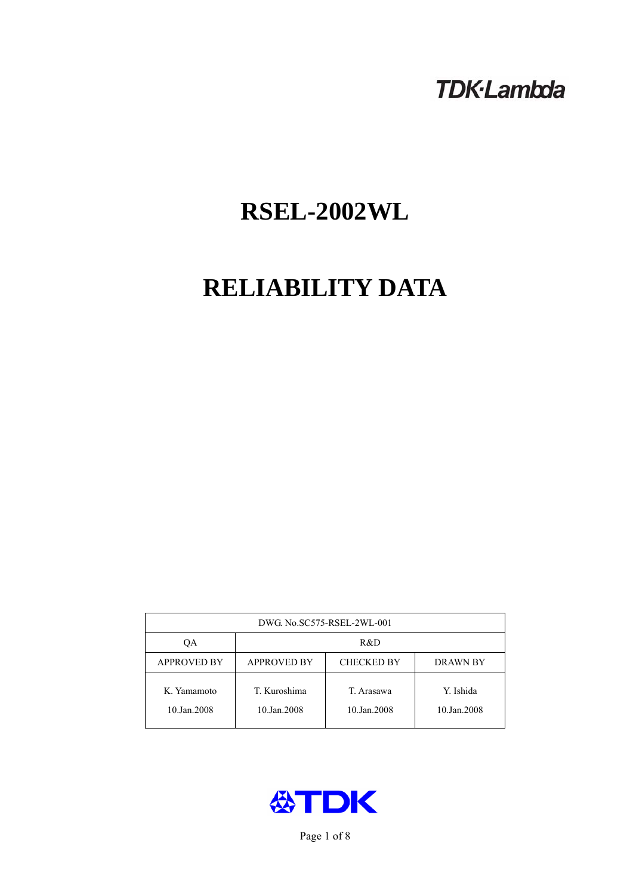# **TDK-Lambda**

# **RSEL-2002WL**

# **RELIABILITY DATA**

| DWG. No.SC575-RSEL-2WL-001 |                                                     |                           |                          |  |  |
|----------------------------|-----------------------------------------------------|---------------------------|--------------------------|--|--|
| OA                         | R&D                                                 |                           |                          |  |  |
| <b>APPROVED BY</b>         | <b>APPROVED BY</b><br><b>CHECKED BY</b><br>DRAWN BY |                           |                          |  |  |
| K. Yamamoto<br>10.Jan.2008 | T. Kuroshima<br>10.Jan.2008                         | T. Arasawa<br>10.Jan.2008 | Y. Ishida<br>10.Jan.2008 |  |  |



Page 1 of 8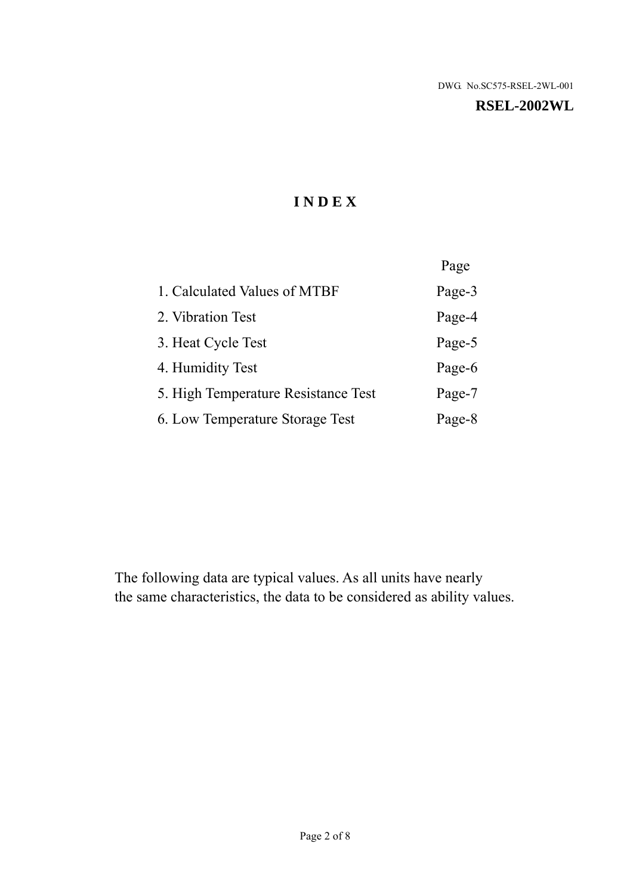#### **RSEL-2002WL**

# **I N D E X**

|                                     | Page   |
|-------------------------------------|--------|
| 1. Calculated Values of MTBF        | Page-3 |
| 2. Vibration Test                   | Page-4 |
| 3. Heat Cycle Test                  | Page-5 |
| 4. Humidity Test                    | Page-6 |
| 5. High Temperature Resistance Test | Page-7 |
| 6. Low Temperature Storage Test     | Page-8 |

The following data are typical values. As all units have nearly the same characteristics, the data to be considered as ability values.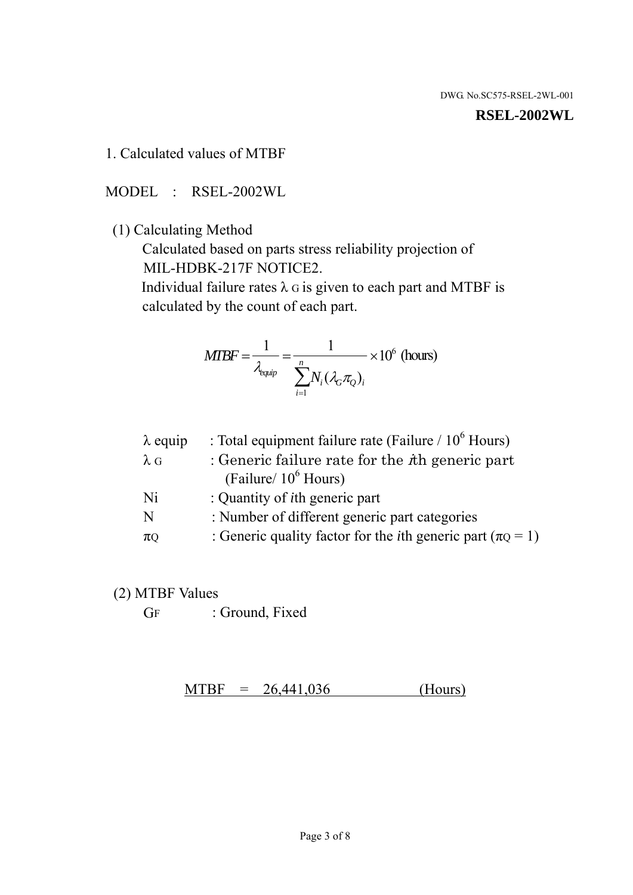#### **RSEL-2002WL**

1. Calculated values of MTBF

MODEL : RSEL-2002WL

(1) Calculating Method

 Calculated based on parts stress reliability projection of MIL-HDBK-217F NOTICE2.

Individual failure rates  $\lambda$  G is given to each part and MTBF is calculated by the count of each part.

$$
MTBF = \frac{1}{\lambda_{\text{equip}}} = \frac{1}{\sum_{i=1}^{n} N_i (\lambda_G \pi_Q)_i} \times 10^6 \text{ (hours)}
$$

| $\lambda$ equip | : Total equipment failure rate (Failure / $10^6$ Hours)                   |
|-----------------|---------------------------------------------------------------------------|
| $\lambda$ G     | : Generic failure rate for the $\hbar$ generic part                       |
|                 | (Failure/ $10^6$ Hours)                                                   |
| Ni              | : Quantity of <i>i</i> th generic part                                    |
| N               | : Number of different generic part categories                             |
| $\pi Q$         | : Generic quality factor for the <i>i</i> th generic part ( $\pi Q = 1$ ) |
|                 |                                                                           |

- (2) MTBF Values
	- GF : Ground, Fixed

 $MTBF = 26,441,036$  (Hours)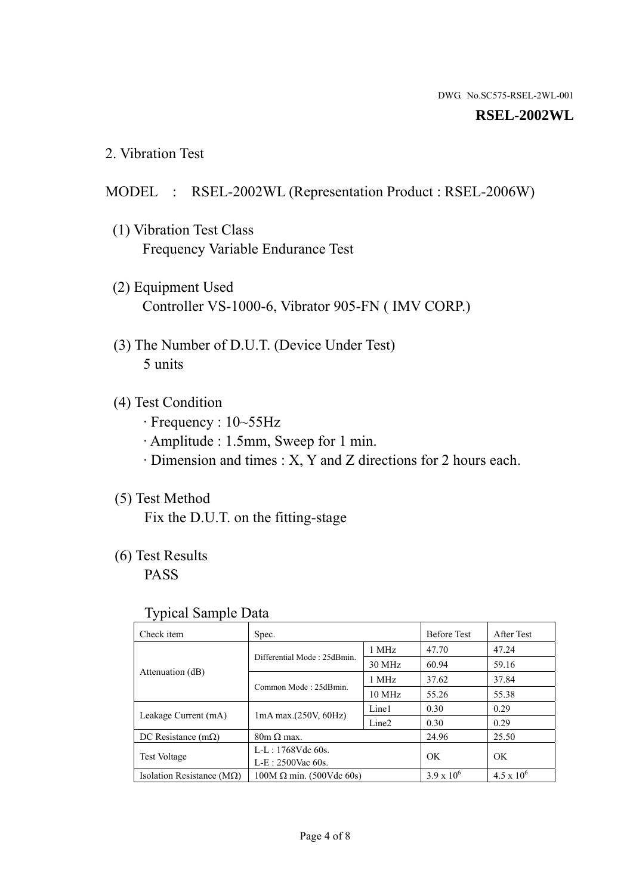#### **RSEL-2002WL**

2. Vibration Test

## MODEL : RSEL-2002WL (Representation Product : RSEL-2006W)

- (1) Vibration Test Class Frequency Variable Endurance Test
- (2) Equipment Used Controller VS-1000-6, Vibrator 905-FN ( IMV CORP.)
- (3) The Number of D.U.T. (Device Under Test) 5 units
- (4) Test Condition
	- · Frequency : 10~55Hz
	- · Amplitude : 1.5mm, Sweep for 1 min.
	- · Dimension and times : X, Y and Z directions for 2 hours each.

# (5) Test Method

Fix the D.U.T. on the fitting-stage

# (6) Test Results

PASS

#### Typical Sample Data

| . .                                |                                                         |                  |                     |                     |
|------------------------------------|---------------------------------------------------------|------------------|---------------------|---------------------|
| Check item                         | Spec.                                                   |                  | <b>Before Test</b>  | After Test          |
|                                    | Differential Mode: 25dBmin.                             | 1 MHz            | 47.70               | 47.24               |
|                                    |                                                         | 30 MHz           | 60.94               | 59.16               |
| Attenuation (dB)                   | Common Mode: 25dBmin.                                   | 1 MHz            | 37.62               | 37.84               |
|                                    |                                                         | $10 \text{ MHz}$ | 55.26               | 55.38               |
| Leakage Current (mA)               | Line1<br>$1mA$ max. $(250V, 60Hz)$<br>Line <sub>2</sub> |                  | 0.30                | 0.29                |
|                                    |                                                         | 0.30             | 0.29                |                     |
| DC Resistance $(m\Omega)$          | $80m \Omega$ max.                                       |                  | 24.96               | 25.50               |
| <b>Test Voltage</b>                | $L-L: 1768Vdc$ 60s.                                     |                  | OK                  | OK.                 |
|                                    | $L-E$ : 2500Vac 60s.                                    |                  |                     |                     |
| Isolation Resistance ( $M\Omega$ ) | $100M \Omega$ min. (500Vdc 60s)                         |                  | $3.9 \times 10^{6}$ | $4.5 \times 10^{6}$ |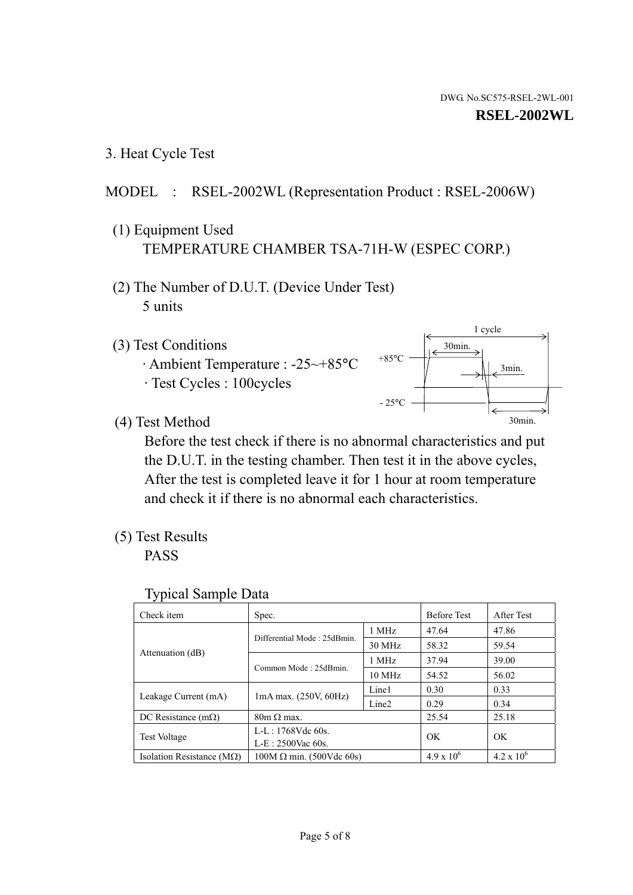1 cycle

30min.

3min.

30min.

3. Heat Cycle Test

# MODEL : RSEL-2002WL (Representation Product : RSEL-2006W)

- (1) Equipment Used TEMPERATURE CHAMBER TSA-71H-W (ESPEC CORP.)
- (2) The Number of D.U.T. (Device Under Test) 5 units
- (3) Test Conditions
	- · Ambient Temperature : -25~+85°C · Test Cycles : 100cycles
- (4) Test Method

 Before the test check if there is no abnormal characteristics and put the D.U.T. in the testing chamber. Then test it in the above cycles, After the test is completed leave it for 1 hour at room temperature and check it if there is no abnormal each characteristics.

 $+85$ °C

 $-25$ °C

(5) Test Results

PASS

| <b>Typical Sample Data</b> |  |
|----------------------------|--|
|                            |  |

| Check item                         | Spec.                           |                   | <b>Before Test</b> | After Test          |
|------------------------------------|---------------------------------|-------------------|--------------------|---------------------|
|                                    | Differential Mode: 25dBmin.     | 1 MHz             | 47.64              | 47.86               |
|                                    |                                 | 30 MHz            | 58.32              | 59.54               |
| Attenuation (dB)                   | Common Mode: 25dBmin.           | 1 MHz             | 37.94              | 39.00               |
|                                    |                                 | 10 MHz            | 54.52              | 56.02               |
| Leakage Current (mA)               | $1mA$ max. $(250V, 60Hz)$       | Line1             | 0.30               | 0.33                |
|                                    |                                 | Line <sub>2</sub> | 0.29               | 0.34                |
| DC Resistance $(m\Omega)$          | $80m \Omega$ max.               |                   | 25.54              | 25.18               |
| <b>Test Voltage</b>                | $L-L: 1768Vdc$ 60s.             |                   | OK                 | OK                  |
|                                    | $L-E: 2500$ Vac 60s.            |                   |                    |                     |
| Isolation Resistance ( $M\Omega$ ) | $100M \Omega$ min. (500Vdc 60s) |                   | $4.9 \times 10^6$  | $4.2 \times 10^{6}$ |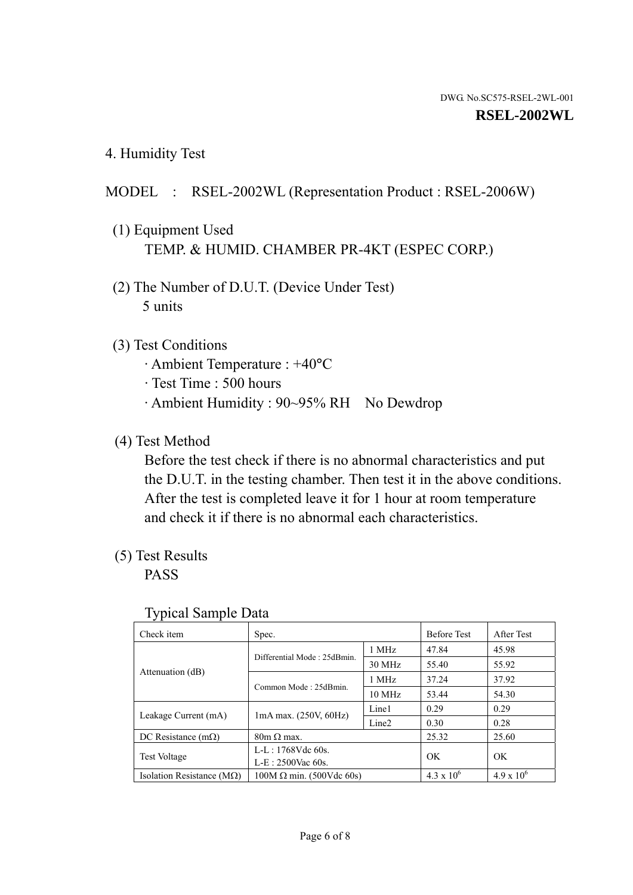4. Humidity Test

# MODEL : RSEL-2002WL (Representation Product : RSEL-2006W)

- (1) Equipment Used TEMP. & HUMID. CHAMBER PR-4KT (ESPEC CORP.)
- (2) The Number of D.U.T. (Device Under Test) 5 units

### (3) Test Conditions

- · Ambient Temperature : +40°C
- · Test Time : 500 hours
- · Ambient Humidity : 90~95% RH No Dewdrop

# (4) Test Method

 Before the test check if there is no abnormal characteristics and put the D.U.T. in the testing chamber. Then test it in the above conditions. After the test is completed leave it for 1 hour at room temperature and check it if there is no abnormal each characteristics.

# (5) Test Results

PASS

| . .                                |                                 |                   |                     |                     |
|------------------------------------|---------------------------------|-------------------|---------------------|---------------------|
| Check item                         | Spec.                           |                   | <b>Before Test</b>  | After Test          |
| Attenuation (dB)                   |                                 | 1 MHz             | 47.84               | 45.98               |
|                                    | Differential Mode: 25dBmin.     | 30 MHz            | 55.40               | 55.92               |
|                                    | Common Mode: 25dBmin.           | 1 MHz             | 37.24               | 37.92               |
|                                    |                                 | $10 \text{ MHz}$  | 53.44               | 54.30               |
| Leakage Current (mA)               | $1mA$ max. $(250V, 60Hz)$       | Line1             | 0.29                | 0.29                |
|                                    |                                 | Line <sub>2</sub> | 0.30                | 0.28                |
| DC Resistance $(m\Omega)$          | $80m \Omega$ max.               |                   | 25.32               | 25.60               |
| <b>Test Voltage</b>                | $L-L: 1768Vdc$ 60s.             |                   | OK                  | OK                  |
|                                    | $L-E: 2500$ Vac 60s.            |                   |                     |                     |
| Isolation Resistance ( $M\Omega$ ) | $100M \Omega$ min. (500Vdc 60s) |                   | $4.3 \times 10^{6}$ | $4.9 \times 10^{6}$ |

#### Typical Sample Data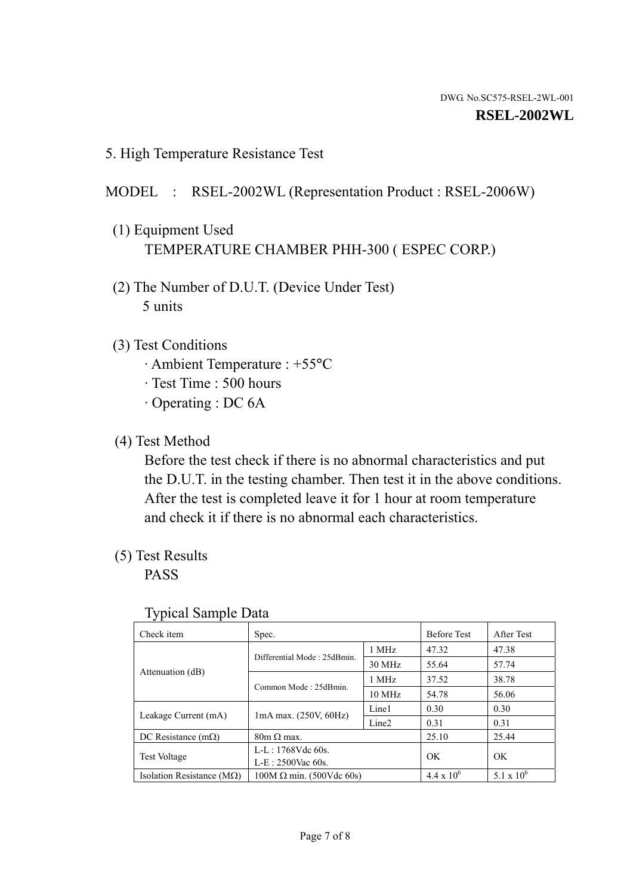5. High Temperature Resistance Test

## MODEL : RSEL-2002WL (Representation Product : RSEL-2006W)

- (1) Equipment Used TEMPERATURE CHAMBER PHH-300 ( ESPEC CORP.)
- (2) The Number of D.U.T. (Device Under Test) 5 units
- (3) Test Conditions
	- · Ambient Temperature : +55°C
	- · Test Time : 500 hours
	- · Operating : DC 6A
- (4) Test Method

 Before the test check if there is no abnormal characteristics and put the D.U.T. in the testing chamber. Then test it in the above conditions. After the test is completed leave it for 1 hour at room temperature and check it if there is no abnormal each characteristics.

(5) Test Results

PASS

| ╯┸                                 |                                                         |        |                     |                     |
|------------------------------------|---------------------------------------------------------|--------|---------------------|---------------------|
| Check item                         | Spec.                                                   |        | <b>Before Test</b>  | After Test          |
|                                    | Differential Mode: 25dBmin.                             | 1 MHz  | 47.32               | 47.38               |
|                                    |                                                         | 30 MHz | 55.64               | 57.74               |
| Attenuation (dB)                   | Common Mode: 25dBmin.                                   | 1 MHz  | 37.52               | 38.78               |
|                                    |                                                         | 10 MHz | 54.78               | 56.06               |
| Leakage Current (mA)               | Line1<br>$1mA$ max. $(250V, 60Hz)$<br>Line <sub>2</sub> |        | 0.30                | 0.30                |
|                                    |                                                         |        | 0.31                | 0.31                |
| DC Resistance $(m\Omega)$          | $80m \Omega$ max.                                       |        | 25.10               | 25.44               |
| <b>Test Voltage</b>                | $L-L: 1768Vdc$ 60s.                                     |        | OK                  | OK                  |
|                                    | $L-E: 2500$ Vac 60s.                                    |        |                     |                     |
| Isolation Resistance ( $M\Omega$ ) | $100M \Omega$ min. (500Vdc 60s)                         |        | $4.4 \times 10^{6}$ | $5.1 \times 10^{6}$ |

#### Typical Sample Data